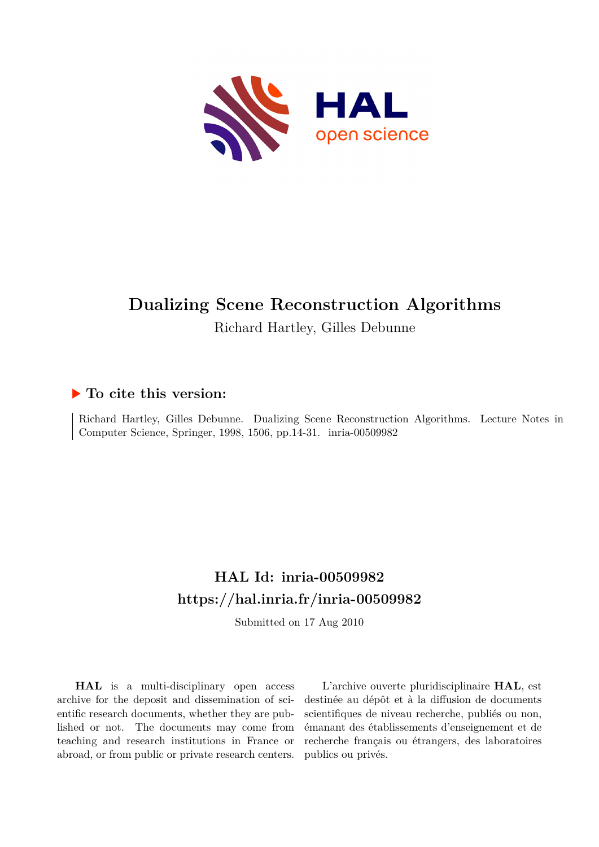

# **Dualizing Scene Reconstruction Algorithms**

Richard Hartley, Gilles Debunne

# **To cite this version:**

Richard Hartley, Gilles Debunne. Dualizing Scene Reconstruction Algorithms. Lecture Notes in Computer Science, Springer, 1998, 1506, pp.14-31. inria-00509982

# **HAL Id: inria-00509982 <https://hal.inria.fr/inria-00509982>**

Submitted on 17 Aug 2010

**HAL** is a multi-disciplinary open access archive for the deposit and dissemination of scientific research documents, whether they are published or not. The documents may come from teaching and research institutions in France or abroad, or from public or private research centers.

L'archive ouverte pluridisciplinaire **HAL**, est destinée au dépôt et à la diffusion de documents scientifiques de niveau recherche, publiés ou non, émanant des établissements d'enseignement et de recherche français ou étrangers, des laboratoires publics ou privés.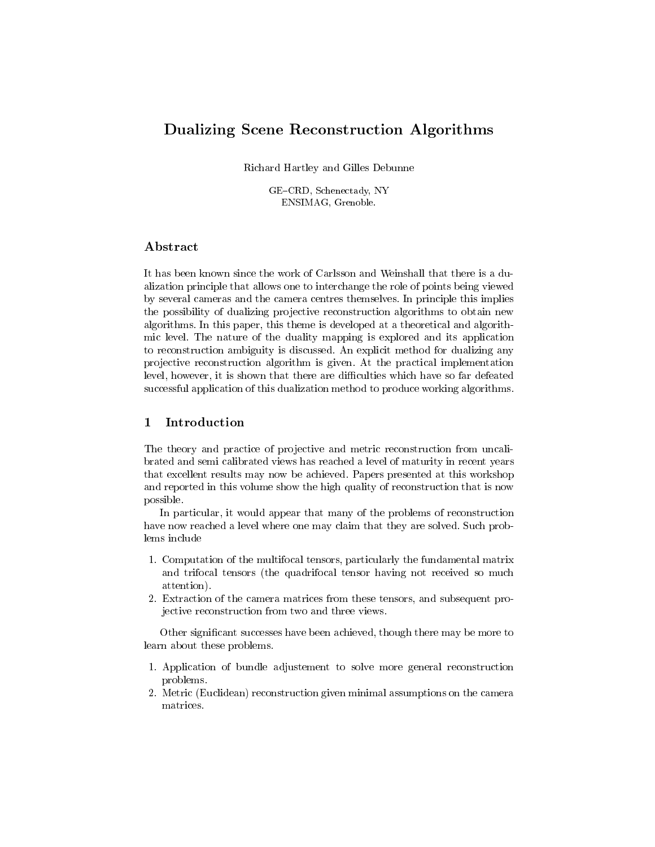# Dualizing Scene Reconstruction Algorithms

Richard Hartley and Gilles Debunne

GE-CRD, Schenectady, NY ENSIMAG, Grenoble.

## Abstract

It has been known since the work of Carlsson and Weinshall that there is a dualization principle that allows one to interchange the role of points being viewed by several cameras and the camera centres themselves. In principle this implies the possibility of dualizing projective reconstruction algorithms to obtain new algorithms. In this paper, this theme is developed at a theoretical and algorithmic level. The nature of the duality mapping is explored and its application to reconstruction ambiguity is discussed. An explicit method for dualizing any projective reconstruction algorithm is given. At the practical implementation level, however, it is shown that there are difficulties which have so far defeated successful application of this dualization method to produce working algorithms.

## 1 Introduction

The theory and practice of projective and metric reconstruction from uncalibrated and semi calibrated views has reached a level of maturity in recent years that excellent results may now be achieved. Papers presented at this workshop and reported in this volume show the high quality of reconstruction that is now possible.

In particular, it would appear that many of the problems of reconstruction have now reached a level where one may claim that they are solved. Such problems include

- 1. Computation of the multifocal tensors, particularly the fundamental matrix and trifocal tensors (the quadrifocal tensor having not received so much attention). attention).
- 2. Extraction of the camera matrices from these tensors, and subsequent projective reconstruction from two and three views.

Other signicant successes have been achieved, though there may be more to learn about these problems.

- 1. Application of bundle adjustement to solve more general reconstruction problems.
- 2. Metric (Euclidean) reconstruction given minimal assumptions on the camera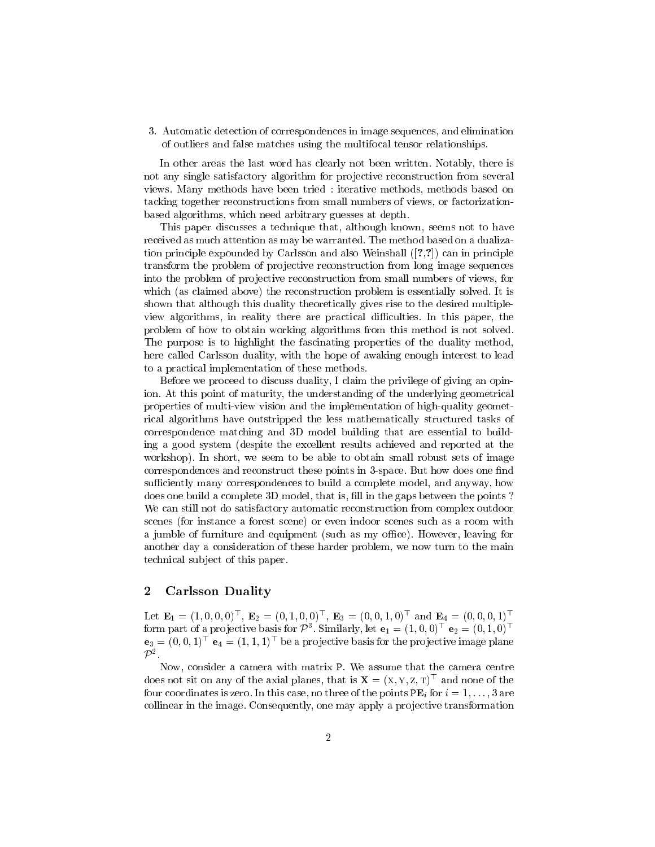3. Automatic detection of correspondences in image sequences, and elimination of outliers and false matches using the multifocal tensor relationships.

In other areas the last word has clearly not been written. Notably, there is not any single satisfactory algorithm for projective reconstruction from several views. Many methods have been tried : iterative methods, methods based on tacking together reconstructions from small numbers of views, or factorizationbased algorithms, which need arbitrary guesses at depth.

This paper discusses a technique that, although known, seems not to have received as much attention as may be warranted. The method based on a dualization principle expounded by Carlsson and also Weinshall ([?,?]) can in principle transform the problem of projective reconstruction from long image sequences into the problem of projective reconstruction from small numbers of views, for which (as claimed above) the reconstruction problem is essentially solved. It is shown that although this duality theoretically gives rise to the desired multipleview algorithms, in reality there are practical difficulties. In this paper, the problem of how to obtain working algorithms from this method is not solved. The purpose is to highlight the fascinating properties of the duality method, here called Carlsson duality, with the hope of awaking enough interest to lead to a practical implementation of these methods.

Before we proceed to discuss duality, I claim the privilege of giving an opinion. At this point of maturity, the understanding of the underlying geometrical properties of multi-view vision and the implementation of high-quality geometrical algorithms have outstripped the less mathematically structured tasks of correspondence matching and 3D model building that are essential to building a good system (despite the excellent results achieved and reported at the workshop). In short, we seem to be able to obtain small robust sets of image correspondences and reconstruct these points in 3-space. But how does one find sufficiently many correspondences to build a complete model, and anyway, how does one build a complete 3D model, that is, fill in the gaps between the points? We can still not do satisfactory automatic reconstruction from complex outdoor scenes (for instance a forest scene) or even indoor scenes such as a room with a jumble of furniture and equipment (such as my office). However, leaving for another day a consideration of these harder problem, we now turn to the main technical sub ject of this paper.

#### 2 Carlsson Duality

Let  $E_1 = (1, 0, 0, 0)$ ,  $E_2 = (0, 1, 0, 0)$ ,  $E_3 = (0, 0, 1, 0)$  and  $E_4 = (0, 0, 0, 1)$ form part of a projective basis for P  $\overline{\phantom{a}}$  . Similarly, let  $e_1 = (1,0,0)$   $\overline{\phantom{a}} e_2 = (0,1,0)$  $e_3 = (0,0,1)$   $e_4 = (1,1,1)$  be a projective basis for the projective image plane  $\mathcal{P}^2$ 

.Now, consider a camera with matrix P. We assume that the camera centre does not sit on any of the axial planes, that is  $\mathbf{A} \equiv (X, Y, Z, T)^\top$  and none of the four coordinates is zero. In this case, no three of the points  $PE<sub>i</sub>$  for  $i = 1, \ldots, 3$  are collinear in the image. Consequently, one may apply a pro jective transformation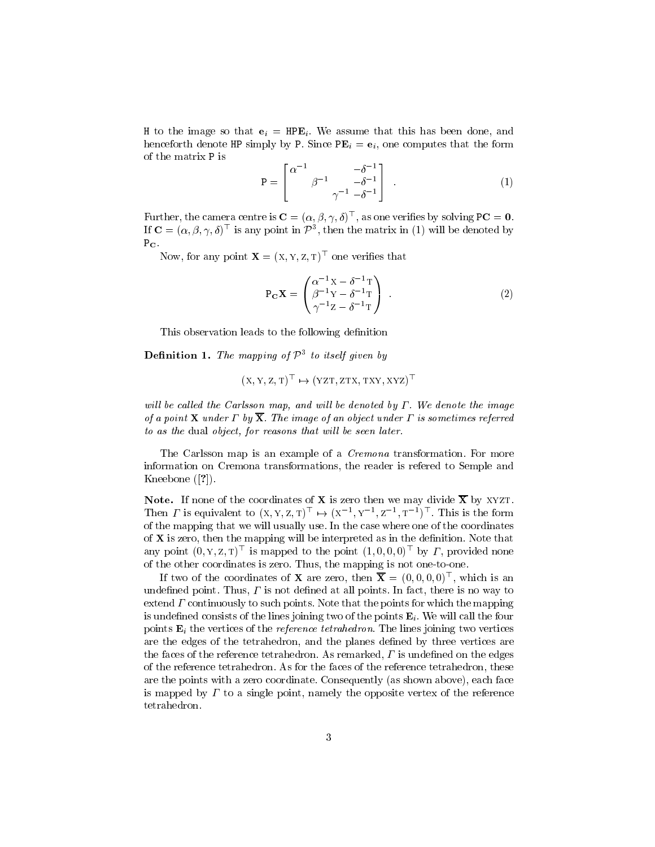H to the image so that  $e_i = \text{HPE}_i$ . We assume that this has been done, and henceforth denote HP simply by P. Since  $PE_i = e_i$ , one computes that the form of the matrix P is

$$
\mathbf{P} = \begin{bmatrix} \alpha^{-1} & -\delta^{-1} \\ \beta^{-1} & -\delta^{-1} \\ \gamma^{-1} & -\delta^{-1} \end{bmatrix} . \tag{1}
$$

Further, the camera centre is  $\mathbf{C} = (\alpha, p, \gamma, \theta)^\top$ , as one verifies by solving PC  $=$  0.  $\mathbf{u} \in \mathbb{R}$  ( $\alpha, \beta, \gamma, \theta$ ) is any point in  $P^-,$  then the matrix in (1) will be denoted by

Now, for any point  $\mathbf{X} = (X, Y, Z, T)^\top$  one verifies that

$$
\mathbf{P}_{\mathbf{C}}\mathbf{X} = \begin{pmatrix} \alpha^{-1}\mathbf{X} - \delta^{-1}\mathbf{T} \\ \beta^{-1}\mathbf{Y} - \delta^{-1}\mathbf{T} \\ \gamma^{-1}\mathbf{Z} - \delta^{-1}\mathbf{T} \end{pmatrix} . \tag{2}
$$

This observation leads to the following definition

**Definition 1.** The mapping of  $P<sup>2</sup>$  to itself given by

$$
(X, Y, Z, T)^{\top} \mapsto (YZT, ZTX, TXY, XYZ)^{\top}
$$

will be called the Carlsson map, and will be denoted by  $\Gamma$ . We denote the image of a point **X** under  $\Gamma$  by  $\overline{\mathbf{X}}$ . The image of an object under  $\Gamma$  is sometimes referred to as the dual object, for reasons that will be seen later.

The Carlsson map is an example of a *Cremona* transformation. For more information on Cremona transformations, the reader is refered to Semple and Kneebone ([?]).

Note. If none of the coordinates of <sup>X</sup> is zero then we may divide <sup>X</sup> by xyzt. I hen I is equivalent to  $(x, y, z, t) \mapsto (x, y, z, y, z, t)$ ,  $y = z, z, y$ , I has is the form of the mapping that we will usually use. In the case where one of the coordinates of  $X$  is zero, then the mapping will be interpreted as in the definition. Note that any point  $(0, Y, Z, T)$  is mapped to the point  $(1, 0, 0, 0)$  by  $I$ , provided none of the other coordinates is zero. Thus, the mapping is not one-to-one.

If two of the coordinates of  $\boldsymbol{\Lambda}$  are zero, then  $\boldsymbol{\Lambda} \equiv (0,0,0,0)$ , which is an undefined point. Thus,  $\Gamma$  is not defined at all points. In fact, there is no way to extend  $\Gamma$  continuously to such points. Note that the points for which the mapping is undefined consists of the lines joining two of the points  $E_i$ . We will call the four points  $\mathbf{E}_i$  the vertices of the *reference tetrahedron*. The lines joining two vertices are the edges of the tetrahedron, and the planes defined by three vertices are the faces of the reference tetrahedron. As remarked,  $\Gamma$  is undefined on the edges of the reference tetrahedron. As for the faces of the reference tetrahedron, these are the points with a zero coordinate. Consequently (as shown above), each face is mapped by  $\Gamma$  to a single point, namely the opposite vertex of the reference tetrahedron.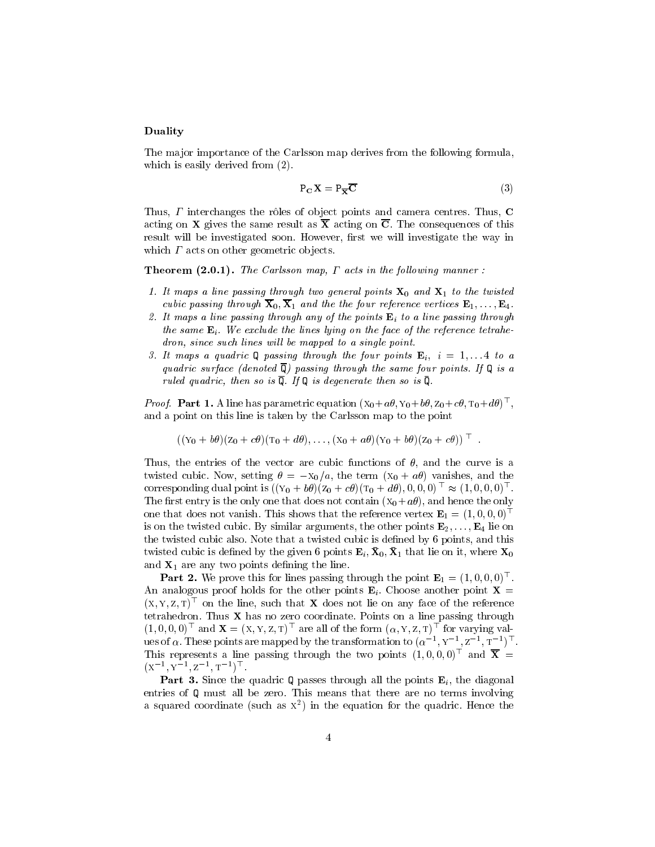#### Duality

The major importance of the Carlsson map derives from the following formula, which is easily derived from (2).

$$
P_C X = P_{\overline{X}} \overline{C}
$$
 (3)

Thus,  $\Gamma$  interchanges the rôles of object points and camera centres. Thus,  $C$ acting on **X** gives the same result as  $\overline{X}$  acting on  $\overline{C}$ . The consequences of this result will be investigated soon. However, first we will investigate the way in which  $\Gamma$  acts on other geometric objects.

**Theorem (2.0.1).** The Carlisson map, I acts in the following manner.

- 1. It maps a line passing through two general points  $X_0$  and  $X_1$  to the twisted cubic passing through  $\overline{\mathbf{X}}_0$ ,  $\overline{\mathbf{X}}_1$  and the the four reference vertices  $\mathbf{E}_1,\ldots,\mathbf{E}_4$ .
- 2. It maps a line passing through any of the points  $E_i$  to a line passing through the same  $\mathbf{E}_i$ . We exclude the lines lying on the face of the reference tetrahedron, since such lines will be mapped to a single point.
- 3. It maps a quadric Q passing through the four points  $\mathbf{E}_i$ ,  $i = 1, \ldots 4$  to a quadric surface (denoted  $\overline{Q}$ ) passing through the same four points. If  $Q$  is a ruled quadric, then so is  $\overline{Q}$ . If  $Q$  is degenerate then so is  $\overline{Q}$ .

*Proof.* Part 1. A line has parametric equation  $(X_0 + a\theta, Y_0 + b\theta, Z_0 + c\theta, T_0 + d\theta)^{\top}$ , , and a point on this line is taken by the Carlsson map to the point

$$
((Y_0 + b\theta)(Z_0 + c\theta)(T_0 + d\theta), \ldots, (X_0 + a\theta)(Y_0 + b\theta)(Z_0 + c\theta))^\top
$$
.

Thus, the entries of the vector are cubic functions of  $\theta$ , and the curve is a twisted cubic. Now, setting  $\theta = -x_0/a$ , the term  $(x_0 + a\theta)$  vanishes, and the corresponding qual point is  $((y_0 + b\sigma)(z_0 + c\sigma)(t_0 + a\sigma), 0, 0, 0) \approx (1, 0, 0, 0)$ . The first entry is the only one that does not contain  $(X_0 + a\theta)$ , and hence the only one that does not vanish. This shows that the reference vertex  $\mathbf{E}_1 = (1, 0, 0, 0)^\top$ is on the twisted cubic. By similar arguments, the other points  $\mathbf{E}_2,\ldots,\mathbf{E}_4$  lie on the twisted cubic also. Note that a twisted cubic is defined by 6 points, and this  $\alpha$  where cubic is defined by the given 6 points  $\mathbf{E}_l$ ,  $\mathbf{x}_0$ ,  $\mathbf{x}_1$  that he on  $\alpha$ , where  $\mathbf{x}_0$ and  $X_1$  are any two points defining the line.

**Part 2.** We prove this for times passing through the point  $E_1 = (1, 0, 0, 0)$ . An analogous proof holds for the other points  $\mathbf{E}_i$ . Choose another point  $\mathbf{X} =$  $(x, y, z, 1)$  on the line, such that  $\boldsymbol{\Lambda}$  does not lie on any face of the reference tetrahedron. Thus  $X$  has no zero coordinate. Points on a line passing through  $(1, 0, 0, 0)$  and  $\mathbf{X} = (X, Y, Z, T)$  are all of the form  $(\alpha, Y, Z, T)$  for varying val- $\alpha$  is of  $\alpha$  . These points are mapped by the transformation to  $(\alpha^{-1}, \gamma^{-1}, \gamma^{-1})$ I ms represents a line passing through the two points  $(1,0,0,0)$  and  $\mathbf{A} =$ (x1 ; <sup>y</sup>1 ; z1 ; t1 )<sup>&</sup>gt;

 $P$  are 3. Since the quadric Q part 3. Since the points  $P$  and the points  $P$  , the diagonal  $Q$  , the diagonal  $Q$ entries of Q must all be zero. This means that there are no terms involving a squared coordinate (such as <sup>x</sup><sup>2</sup> ) in the equation for the quadric. Hence the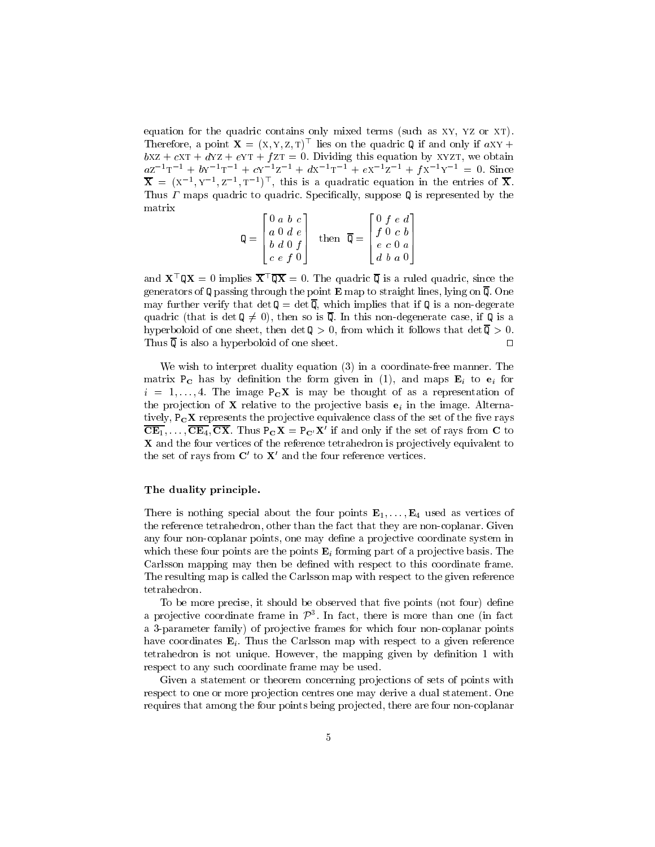equation for the quadric contains only mixed terms (such as xy, yz or xt). I herefore, a point  $\mathbf{X} = (X, Y, Z, T)$  lies on the quadric Q if and only if  $aXY +$  $bXZ + cXT + dYZ + eYT + fZT = 0$ . Dividing this equation by XYZT, we obtain  $aZ^{-1}T^{-1} + bY^{-1}T^{-1} + cY^{-1}Z^{-1} + dX^{-1}T^{-1} + eX^{-1}Z^{-1} + fX^{-1}Y^{-1} = 0.$  Since  $\mathbf{X} = \{X_1, Y_2, Z_3, T_4\}$ , this is a quadratic equation in the entries of  $\mathbf{X}$ . Thus  $\Gamma$  maps quadric to quadric. Specifically, suppose Q is represented by the matrix

$$
\mathbf{Q} = \begin{bmatrix} 0 & a & b & c \\ a & 0 & d & e \\ b & d & 0 & f \\ c & e & f & 0 \end{bmatrix} \quad \text{then} \quad \overline{\mathbf{Q}} = \begin{bmatrix} 0 & f & e & d \\ f & 0 & c & b \\ e & c & 0 & a \\ d & b & a & 0 \end{bmatrix}
$$

and  $\mathbf{X} \cdot \mathbf{U} \mathbf{X} = 0$  implies  $\mathbf{X} \cdot \mathbf{U} \mathbf{X} = 0$ . The quadric  $\mathbf{U}$  is a ruled quadric, since the generators of Q passing through the point  $E$  map to straight lines, lying on  $\overline{Q}$ . One may further verify that  $\det Q = \det \overline{Q}$ , which implies that if Q is a non-degerate quadric (that is det  $\mathbf{Q} \neq 0$ ), then so is  $\overline{\mathbf{Q}}$ . In this non-degenerate case, if  $\mathbf{Q}$  is a hyperboloid of one sheet, then det  $\mathbb{Q} > 0$ , from which it follows that det  $\overline{\mathbb{Q}} > 0$ . Thus  $\overline{\mathbb{Q}}$  is also a hyperboloid of one sheet.  $\Box$ 

We wish to interpret duality equation (3) in a coordinate-free manner. The matrix  $P_C$  has by definition the form given in (1), and maps  $E_i$  to  $e_i$  for  $i = 1,..., 4$ . The image  $P_{\text{C}}X$  is may be thought of as a representation of the projection of **X** relative to the projective basis  $e_i$  in the image. Alternatively,  $P_{\rm C}X$  represents the projective equivalence class of the set of the five rays  $\overline{\text{CE}_1},\ldots,\overline{\text{CE}_4},\overline{\text{CX}}$ . Thus  $P_{\text{C}}\text{X} = P_{\text{C}}\text{X}'$  if and only if the set of rays from C to X and the four vertices of the reference tetrahedron is pro jectively equivalent to the set of rays from  $C'$  to  $X'$  and the four reference vertices.

#### The duality principle.

There is nothing special about the four points  $E_1,\ldots,E_4$  used as vertices of the reference tetrahedron, other than the fact that they are non-coplanar. Given any four non-coplanar points, one may define a projective coordinate system in which these four points are the points  $E_i$  forming part of a projective basis. The Carlsson mapping may then be defined with respect to this coordinate frame. The resulting map is called the Carlsson map with respect to the given reference tetrahedron.

To be more precise, it should be observed that five points (not four) define a projective coordinate frame in  $P^{\pm}$ . In fact, there is more than one (in fact a 3-parameter family) of projective frames for which four non-coplanar points have coordinates  $E_i$ . Thus the Carlsson map with respect to a given reference tetrahedron is not unique. However, the mapping given by definition 1 with respect to any such coordinate frame may be used.

Given a statement or theorem concerning projections of sets of points with respect to one or more projection centres one may derive a dual statement. One requires that among the four points being projected, there are four non-coplanar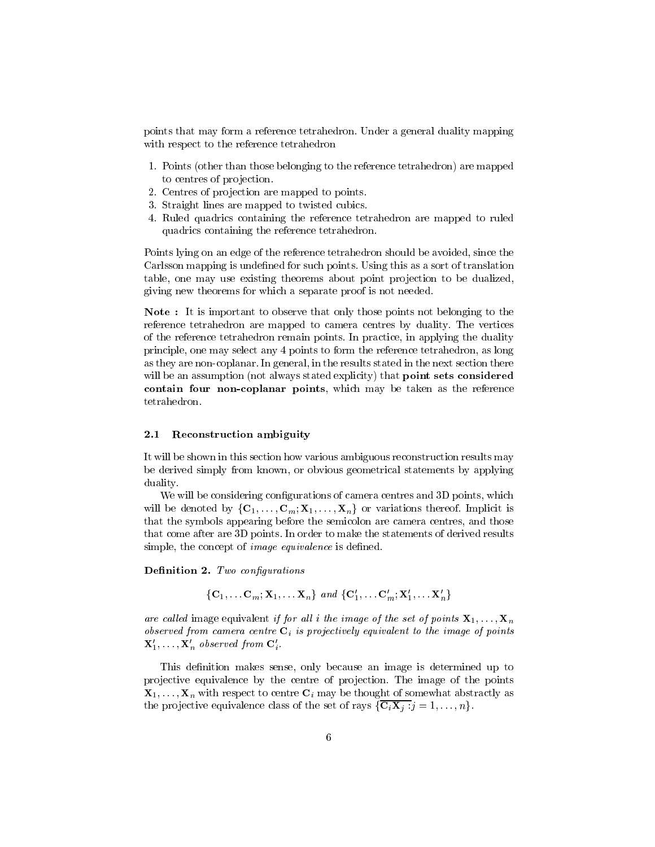points that may form a reference tetrahedron. Under a general duality mapping with respect to the reference tetrahedron

- 1. Points (other than those belonging to the reference tetrahedron) are mapped to centres of projection.
- 2. Centres of projection are mapped to points.
- 3. Straight lines are mapped to twisted cubics.
- 4. Ruled quadrics containing the reference tetrahedron are mapped to ruled quadrics containing the reference tetrahedron.

Points lying on an edge of the reference tetrahedron should be avoided, since the Carlsson mapping is undefined for such points. Using this as a sort of translation table, one may use existing theorems about point projection to be dualized, giving new theorems for which a separate proof is not needed.

Note : It is important to observe that only those points not belonging to the reference tetrahedron are mapped to camera centres by duality. The vertices of the reference tetrahedron remain points. In practice, in applying the duality principle, one may select any 4 points to form the reference tetrahedron, as long as they are non-coplanar. In general, in the results stated in the next section there will be an assumption (not always stated explicity) that **point sets considered** complete four non-coplanate points, which may be the referred which may be the reference

#### 2.1Reconstruction ambiguity

It will be shown in this section how various ambiguous reconstruction results may be derived simply from known, or obvious geometrical statements by applying duality.

We will be considering configurations of camera centres and 3D points, which will be denoted by  $\{C_1,\ldots,C_m;X_1,\ldots,X_n\}$  or variations thereof. Implicit is that the symbols appearing before the semicolon are camera centres, and those that come after are 3D points. In order to make the statements of derived results simple, the concept of *image equivalence* is defined.

 $D$ emmuon 2. Two conjigurations

$$
\{\mathbf C_1,\ldots \mathbf C_m; \mathbf X_1,\ldots \mathbf X_n\} \ and \ \{\mathbf C'_1,\ldots \mathbf C'_m; \mathbf X'_1,\ldots \mathbf X'_n\}
$$

are called image equivalent if for all i the image of the set of points  $X_1,\ldots,X_n$ observed from camera centre  $C_i$  is projectively equivalent to the image of points  $\mathbf{X}'_1,\ldots,\mathbf{X}'_n$  observed from  $\mathbf{C}'_i$ .

This definition makes sense, only because an image is determined up to projective equivalence by the centre of projection. The image of the points  $\mathbf{X}_1,\ldots,\mathbf{X}_n$  with respect to centre  $\mathbf{C}_i$  may be thought of somewhat abstractly as the projective equivalence class of the set of rays  $\{\overline{C_iX_j} : j = 1,\ldots,n\}.$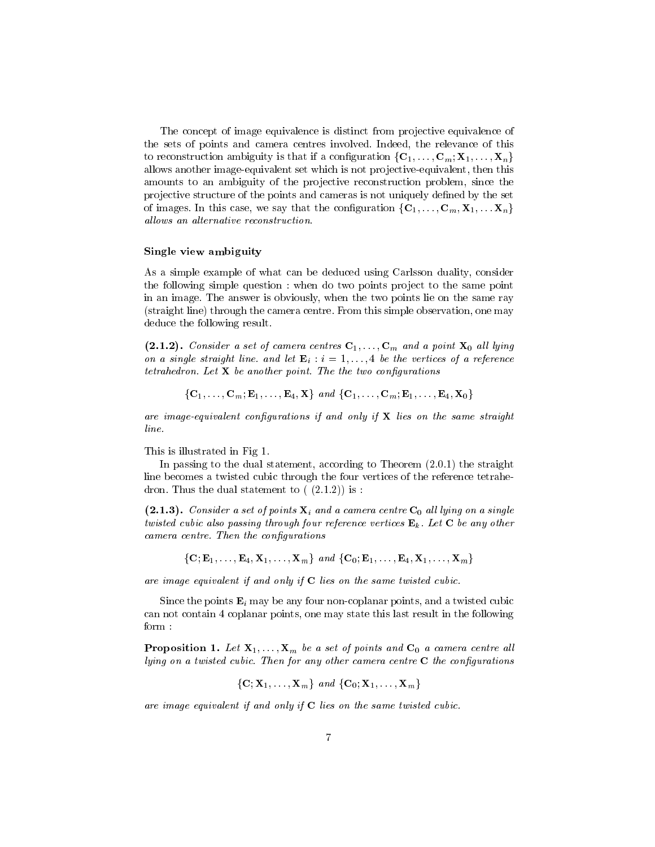The concept of image equivalence is distinct from projective equivalence of the sets of points and camera centres involved. Indeed, the relevance of this to reconstruction ambiguity is that if a configuration  $\{C_1,\ldots,C_m;X_1,\ldots,X_n\}$ allows another image-equivalent set which is not projective-equivalent, then this amounts to an ambiguity of the projective reconstruction problem, since the projective structure of the points and cameras is not uniquely defined by the set of images. In this case, we say that the configuration  $\{C_1,\ldots,C_m,X_1,\ldots,X_n\}$ allows an alternative reconstruction.

#### Single view ambiguity

As a simple example of what can be deduced using Carlsson duality, consider the following simple question : when do two points project to the same point in an image. The answer is obviously, when the two points lie on the same ray (straight line) through the camera centre. From this simple observation, one may deduce the following result.

 $\mathcal{L} = \mathcal{L} = \{1, 2, \ldots, n\}$  and a set of call limits  $\mathcal{L} = \{1, 1, \ldots, n\}$  and a point  $\mathcal{L} = \{1, 2, \ldots, n\}$ on a single straight line, and let  $\mathbf{E}_i : i = 1, \ldots, 4$  be the vertices of a reference tetrahedron. Let  $X$  be another point. The the two configurations

 ${C_1, \ldots, C_m; E_1, \ldots, E_4, X}$  and  ${C_1, \ldots, C_m; E_1, \ldots, E_4, X_0}$ 

are image-equivalent configurations if and only if  $X$  lies on the same straight line.

This is illustrated in Fig 1.

In passing to the dual statement, according to Theorem (2.0.1) the straight line becomes a twisted cubic through the four vertices of the reference tetrahedron. Thus the dual statement to  $(2.1.2)$  is :

 $\mathbf{I} = \mathbf{I}$  . Consider a set of points  $\mathbf{I}$  and a camera centre  $\mathbf{I}$  are given a single twisted cubic also passing through four reference vertices  $\mathbf{E}_k$ . Let C be any other camera centre. Then the configurations

 $\{C; E_1,\ldots,E_4, X_1,\ldots,X_m\}$  and  $\{C_0; E_1,\ldots,E_4, X_1,\ldots,X_m\}$ 

are image equivalent if and only if <sup>C</sup> lies on the same twisted cubic.

Since the points  $\mathbf{E}_i$  may be any four non-coplanar points, and a twisted cubic can not contain 4 coplanar points, one may state this last result in the following form :

**Proposition 1.** Let  $\mathbf{A}_1,\ldots,\mathbf{A}_m$  be a set of points and  $\mathbf{C}_0$  a camera centre all  $lying on a twisted cubic. Then for any other camera centre  $C$  the configurations$ 

$$
\{{\bf C}; {\bf X}_1, \ldots, {\bf X}_m\} \ \textit{and} \ \{{\bf C}_0; {\bf X}_1, \ldots, {\bf X}_m\}
$$

are image equivalent if and only if  $C$  lies on the same twisted cubic.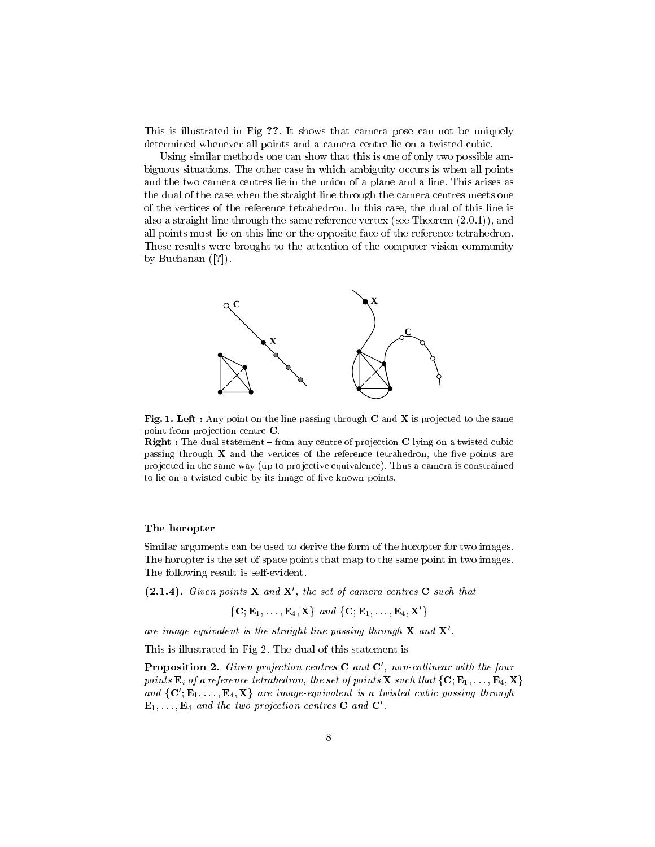This is illustrated in Fig ??. It shows that camera pose can not be uniquely determined whenever all points and a camera centre lie on a twisted cubic.

Using similar methods one can show that this is one of only two possible ambiguous situations. The other case in which ambiguity occurs is when all points and the two camera centres lie in the union of a plane and a line. This arises as the dual of the case when the straight line through the camera centres meets one of the vertices of the reference tetrahedron. In this case, the dual of this line is also a straight line through the same reference vertex (see Theorem (2.0.1)), and all points must lie on this line or the opposite face of the reference tetrahedron. These results were brought to the attention of the computer-vision community by Buchanan  $([?)$ .



Fig. 1. Left : Any point on the line passing through  $C$  and  $\Lambda$  is projected to the same point from projection centre C.

**Right :** The dual statement  $=$  from any centre of projection  $\bf{C}$  lying on a twisted cubic passing through  $X$  and the vertices of the reference tetrahedron, the five points are projected in the same way (up to projective equivalence). Thus a camera is constrained to lie on a twisted cubic by its image of five known points.

#### The horopter

Similar arguments can be used to derive the form of the horopter for two images. The horopter is the set of space points that map to the same point in two images. The following result is self-evident.

(2.1.4). Given points  $X$  and  $X$ , the set of camera centres  $C$  such that

 $\{C; E_1,\ldots,E_4,\mathbf{X}\}\text{ and }\{C; E_1,\ldots,E_4,\mathbf{X}'\}\$ 

are image equivalent is the straight line passing through  $X$  and  $X'$ .<br>This is illustrated in Fig 2. The dual of this statement is

**Proposition 2.** Given projection centres  $C$  and  $C$ , non-collinear with the four points  $\mathbf{E}_i$  of a reference tetrahedron, the set of points  $\mathbf{X}$  such that  $\{\mathbf{C}; \mathbf{E}_1, \ldots, \mathbf{E}_4, \mathbf{X}\}\$ and  $\{C', E_1, \ldots, E_4, X\}$  are image-equivalent is a twisted cubic passing through  $\mathbf{E}_1,\ldots,\mathbf{E}_4$  and the two projection centres **C** and **C'**.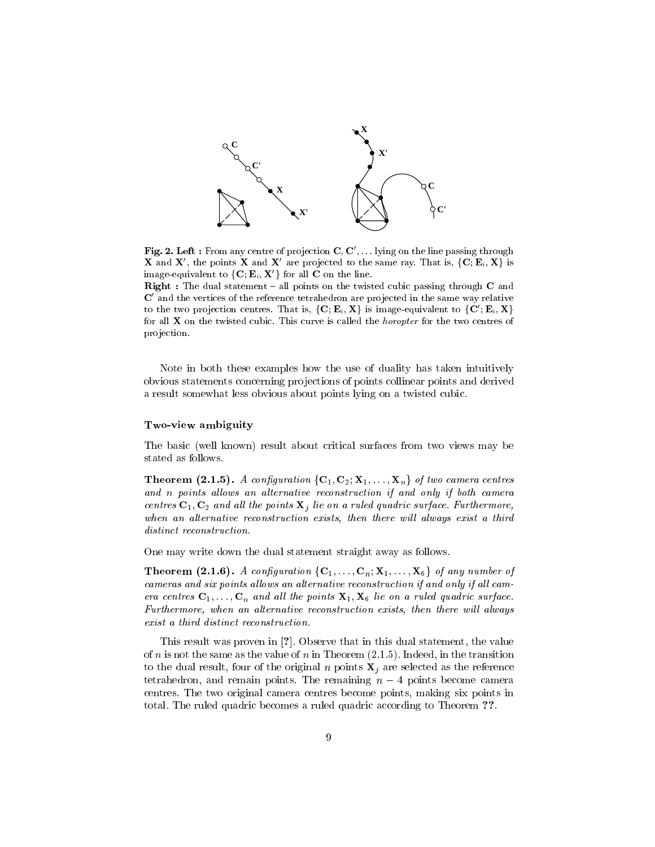

Fig. 2. Left : From any centre of projection  $\mathbf{C}, \mathbf{C}, \ldots$  lying on the line passing through  $\boldsymbol{\Lambda}$  and  $\boldsymbol{\Lambda}$ , the points  $\boldsymbol{\Lambda}$  and  $\boldsymbol{\Lambda}$  are projected to the same ray. That is,  $\{C; E_i, \boldsymbol{\Lambda}\}$  is image-equivalent to  $\{C; E_i, X'\}$  for all C on the line.

 $\boldsymbol{\kappa}$ ight : The dual statement  $\boldsymbol{\kappa}$  all points on the twisted cubic passing through  $\boldsymbol{\kappa}$  and  ${\bf C}$  and the vertices of the reference tetrahedron are projected in the same way relative to the two projection centres. That is,  $\{C; E_i, X\}$  is image-equivalent to  $\{C'; E_i, X\}$ for all  $X$  on the twisted cubic. This curve is called the *horopter* for the two centres of pro jection.

Note in both these examples how the use of duality has taken intuitively obvious statements concerning pro jections of points collinear points and derived a result somewhat less obvious about points lying on a twisted cubic.

#### Two-view ambiguity

The basic (well known) result about critical surfaces from two views may be stated as follows.

**Theorem (2.1.5).** A configuration  $\{C_1, C_2, \mathbf{A}_1, \ldots, \mathbf{A}_n\}$  of two camera centres and  $n$  points allows an alternative reconstruction if and only if both camera centres  $C_1, C_2$  and all the points  $X_j$  lie on a ruled quadric surface. Furthermore, when an alternative reconstruction exists, then there will always exist a third distinct reconstruction.

One may write down the dual statement straight away as follows.

**Theorem (2.1.6).** A configuration  $\{C_1,\ldots,C_n,\mathbf{\Lambda}\}\cup\{S_1,\ldots,\mathbf{\Lambda}\}\$  by any number of cameras and six points allows an alternative reconstruction if and only if all camera centres  $C_1,\ldots,C_n$  and all the points  $X_1, X_6$  lie on a ruled quadric surface. Furthermore, when an alternative reconstruction exists, then there will always exist a third distinct reconstruction.

This result was proven in [?]. Observe that in this dual statement, the value of n is not the same as the value of n in Theorem  $(2.1.5)$ . Indeed, in the transition to the dual result, four of the original n points  $X_i$  are selected as the reference tetrahedron, and remain points. The remaining  $n - 4$  points become camera centres. The two original camera centres become points, making six points in total. The ruled quadric becomes a ruled quadric according to Theorem ??.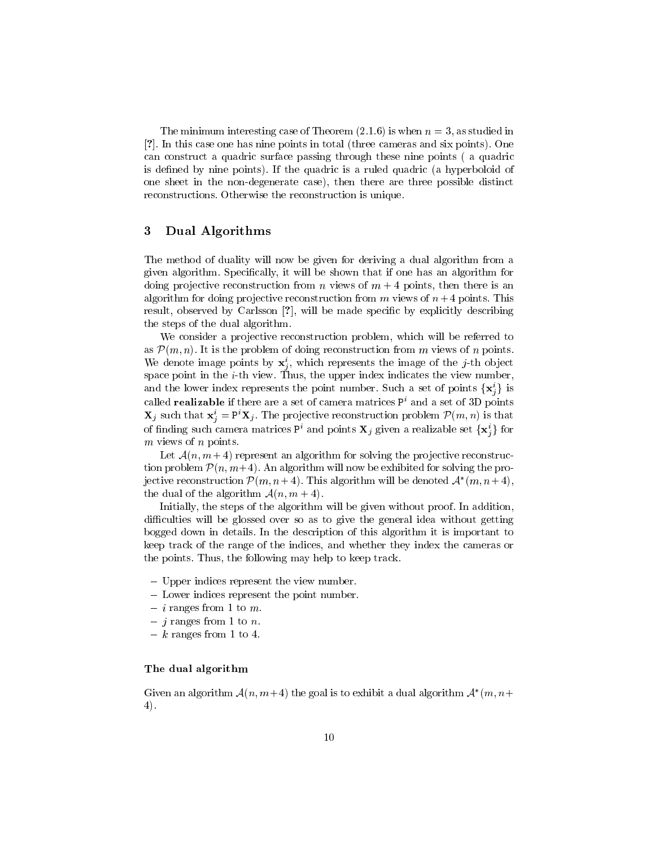The minimum interesting case of Theorem  $(2.1.6)$  is when  $n = 3$ , as studied in [?]. In this case one has nine points in total (three cameras and six points). One can construct a quadric surface passing through these nine points ( a quadric is defined by nine points). If the quadric is a ruled quadric (a hyperboloid of one sheet in the non-degenerate case), then there are three possible distinct reconstructions. Otherwise the reconstruction is unique.

#### 3 Dual Algorithms

The method of duality will now be given for deriving a dual algorithm from a given algorithm. Specically, it will be shown that if one has an algorithm for doing projective reconstruction from n views of  $m + 4$  points, then there is an algorithm for doing projective reconstruction from  $m$  views of  $n + 4$  points. This result, observed by Carlsson [?], will be made specic by explicitly describing the steps of the dual algorithm.

We consider a projective reconstruction problem, which will be referred to as  $P(m, n)$ . It is the problem of doing reconstruction from m views of n points. We denote image points by  $\mathbf{x}_i$ , which represents the image of the j-th object <u>je za obrazovanje predsjednje predsjednje predsjednje predsjednje predsjednje predsjednje predsjednje predsje</u> space point in the i-th view. Thus, the upper index indicates the view number, and the lower muex represents the point number. Such a set of points  $\{ \mathbf{x}_i \}$  is called **realizable** if there are a set of camera matrices  $P<sup>i</sup>$  and a set of 3D points  $\mathbf{x}_j$  such that  $\mathbf{x}_j = \mathbf{r} \cdot \mathbf{x}_j$ . The projective reconstruction problem  $P(m, n)$  is that of finding such camera matrices Pi and points  $\mathbf{x}_j$  given a realizable set  $\{ \mathbf{x}_i \}$  for  $m$  views of  $n$  points.

Let  $\mathcal{A}(n, m+4)$  represent an algorithm for solving the projective reconstruction problem  $\mathcal{P}(n, m+4)$ . An algorithm will now be exhibited for solving the projective reconstruction  $P(m, n+4)$ . This algorithm will be denoted  $A^-(m, n+4)$ , the dual of the algorithm  $\mathcal{A}(n, m + 4)$ .

Initially, the steps of the algorithm will be given without proof. In addition, difficulties will be glossed over so as to give the general idea without getting bogged down in details. In the description of this algorithm it is important to keep track of the range of the indices, and whether they index the cameras or the points. Thus, the following may help to keep track.

- { Upper indices represent the view number.
- { Lower indices represent the point number.
- $\alpha$   $\alpha$  is a set of  $\alpha$  is the mass of  $\alpha$
- $j$  ranges in the  $i$  to  $i$ .
- $k$  remains  $k$  . The  $k$  to  $\mathbf{r}$ .

### The dual algorithm

Given an algorithm  $A(n, m+4)$  the goal is to exhibit a qual algorithm  $A^-(m, n+1)$ 4).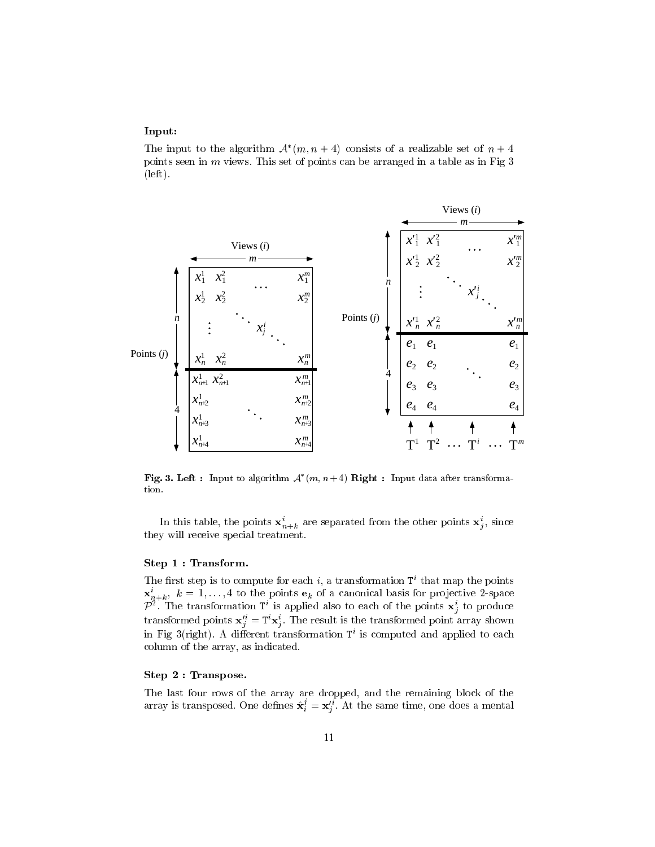#### Input:

The input to the algorithm  $A$   $(m, n + 4)$  consists of a realizable set of  $n + 4$ points seen in  $m$  views. This set of points can be arranged in a table as in Fig  $3$ (left).



**Fig. 3. Left :** Input to algorithm  $\mathcal{A}$  (m, n + 4) Right : Input data after transformation.

In this table, the points  ${\bf x}_{n+k}$  are separated from the other points  ${\bf x}_j$ , since they will receive special treatment.

#### Step 1 : Transform.

The first step is to compute for each i, a transformation  $T<sup>i</sup>$  that map the points  $\mathbf{x}_{n+k}^{\dagger}$ ,  $\kappa = 1,\ldots,4$  to the points  $\mathbf{e}_k$  of a canonical basis for projective *z*-space  $P^+$ . The transformation T is applied also to each of the points  $\mathbf{x}_j^+$  to produce transformed points  $\mathbf{x}_j = \mathbf{r} \mathbf{x}_j$ . The result is the transformed point array shown in Fig 3(right). A dierent transformation Ti is computed and applied to each column of the array, as indicated.

### Step 2 : Transpose.

The last four rows of the array are dropped, and the remaining block of the array is transposed. One defines  $\mathbf{x}^i_i = \mathbf{x}^{i}_j$ . At the same time, one does a mental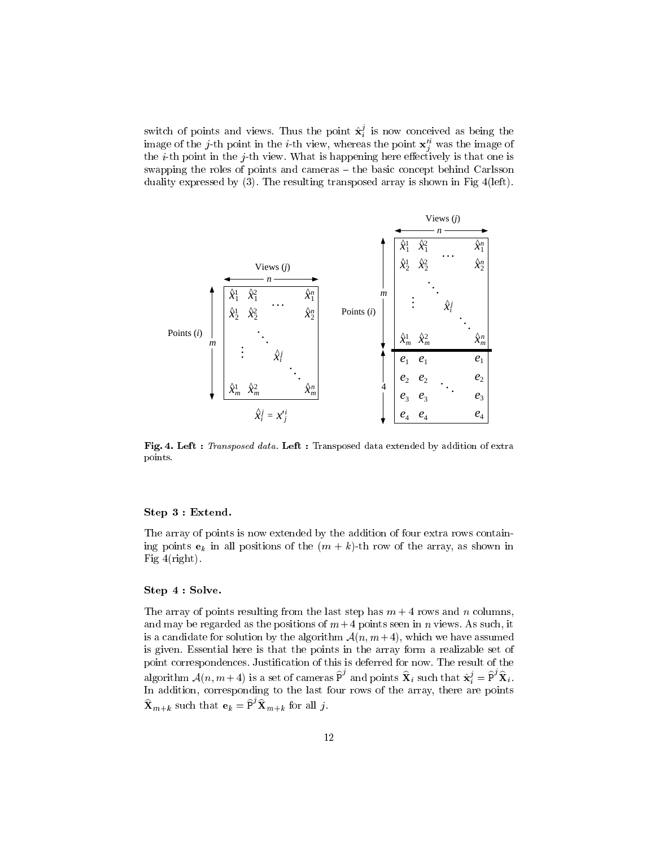switch of points and views. Thus the point  $\mathbf{x}^{\prime}_i$  is now conceived as being the image of the j-th point in the i-th view, whereas the point  $\mathbf{x}_i^+$  was the image of the *i*-th point in the *j*-th view. What is happening here effectively is that one is swapping the roles of points and cameras  $-$  the basic concept behind Carlsson duality expressed by (3). The resulting transposed array is shown in Fig 4(left).



Fig. 4. Left : Transposed data. Left : Transposed data extended by addition of extra points.

#### Step 3 : Extend.

The array of points is now extended by the addition of four extra rows containing points  $e_k$  in all positions of the  $(m + k)$ -th row of the array, as shown in Fig  $4$ (right).

#### Step 4 : Solve.

The array of points resulting from the last step has  $m + 4$  rows and n columns, and may be regarded as the positions of  $m+4$  points seen in n views. As such, it is a candidate for solution by the algorithm  $\mathcal{A}(n, m+4)$ , which we have assumed is given. Essential here is that the points in the array form a realizable set of point correspondences. Justication of this is deferred for now. The result of the In addition, corresponding to the last four rows of the array, there are points In addition, corresponding to the last four rows of the array, there are points and points  $\mathbf{X}_i$  such that  $\hat{\mathbf{x}}_i^j = \mathbf{P}^{\prime} \mathbf{X}_i$ .  $\mathbf{X}_{m+k}$  such that  $\mathbf{e}_k = \mathbf{P}' \mathbf{X}_{m+k}$  for all j.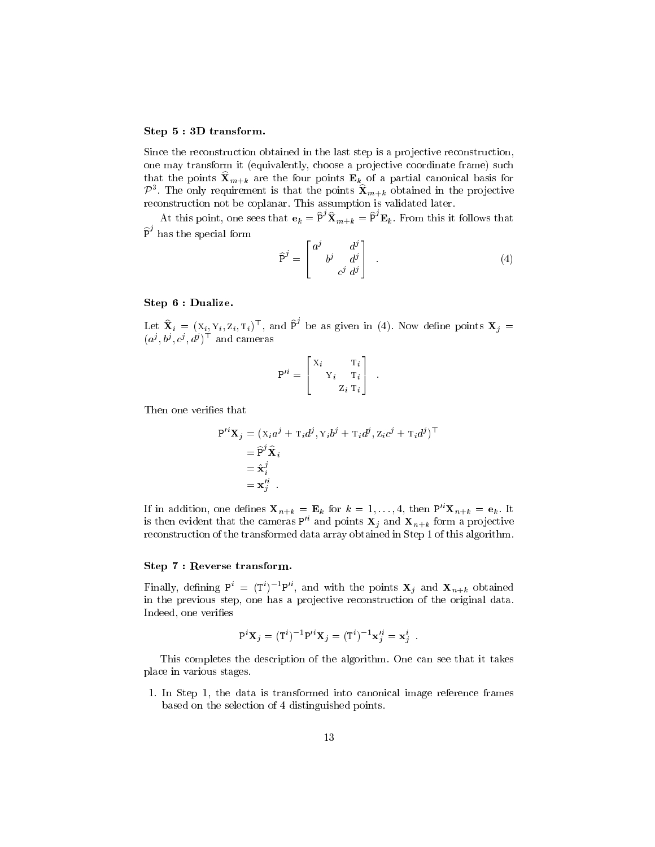#### Step 5 : 3D transform.

Since the reconstruction obtained in the last step is a projective reconstruction, one may transform it (equivalently, choose a projective coordinate frame) such  $\mathcal{P}^3$ . The only requirement is that the points  $\mathbf{\hat{X}}_{m+k}$  obtained in the projective reconstruction not be coplanar. This assumption is validated later.

At this point, one sees that  $\mathbf{e}_k = \mathbf{P}' \mathbf{X}_{m+k} = \mathbf{P}' \mathbf{E}_k$ . From this it follows that  $P'$  has the special form

$$
\widehat{P}^j = \begin{bmatrix} a^j & d^j \\ b^j & d^j \\ c^j & d^j \end{bmatrix} . \tag{4}
$$

#### Step 6 : Dualize.

Let  $\mathbf{X}_i = (X_i, Y_i, Z_i, T_i)^\top$ , and P<sup>o</sup> be as given in (4). Now define points  $\mathbf{X}_j = (x_i, Y_i, T_i)^\top$  $(a^j, b^j, c^j, a^j)$  and cameras

$$
\mathrm{P}'^i = \begin{bmatrix} \mathrm{X}_i & \mathrm{T}_i \\ & \mathrm{Y}_i & \mathrm{T}_i \\ & & \mathrm{Z}_i & \mathrm{T}_i \end{bmatrix} \enspace .
$$

Then one verifies that

$$
P'^{i} \mathbf{X}_{j} = (X_{i} a^{j} + T_{i} d^{j}, Y_{i} b^{j} + T_{i} d^{j}, Z_{i} c^{j} + T_{i} d^{j})^{\top}
$$
  
=  $\widehat{P}^{j} \widehat{\mathbf{X}}_{i}$   
=  $\widehat{\mathbf{x}}_{i}^{j}$   
=  $\mathbf{x}_{j}^{i}$ .

If in addition, one defines  $\mathbf{X}_{n+k} = \mathbf{E}_k$  for  $k = 1, \ldots, 4$ , then  $P'^{i} \mathbf{X}_{n+k} = \mathbf{e}_k$ . It is then evident that the cameras  $P^{i}$  and points  $X_j$  and  $X_{n+k}$  form a projective reconstruction of the transformed data array obtained in Step 1 of this algorithm.

## Step 7 : Reverse transform.

Finally, defining  $P^+ = (T^+)^+P^-$ , and with the points  $\mathbf{X}_i$  and  $\mathbf{X}_{n+k}$  obtained in the previous step, one has a projective reconstruction of the original data. Indeed, one verifies

$$
P^i \mathbf{X}_j = (T^i)^{-1} P'^i \mathbf{X}_j = (T^i)^{-1} \mathbf{x}_j'^i = \mathbf{x}_j^i
$$

This completes the description of the algorithm. One can see that it takes place in various stages.

1. In Step 1, the data is transformed into canonical image reference frames based on the selection of 4 distinguished points.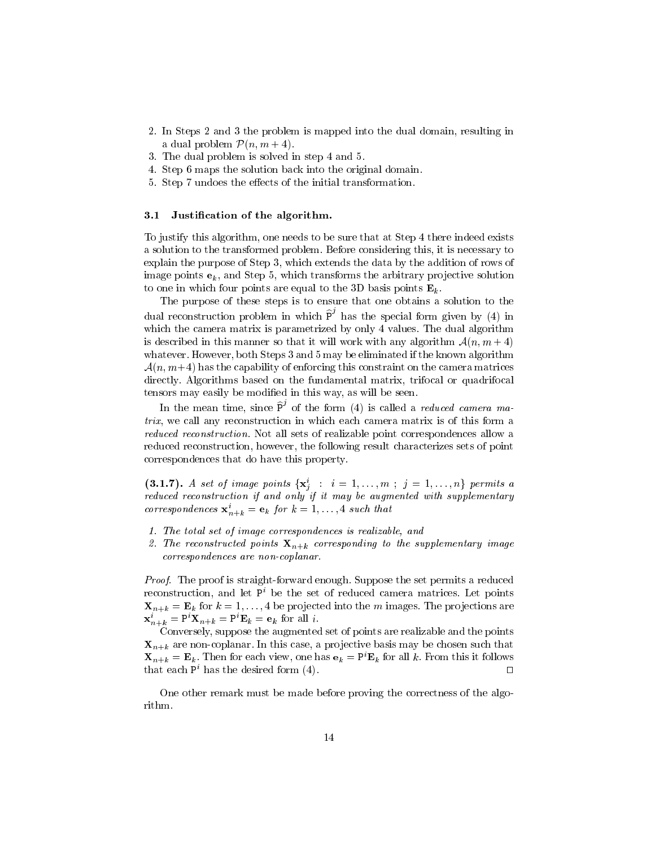- 2. In Steps 2 and 3 the problem is mapped into the dual domain, resulting in a dual problem  $\mathcal{P}(n, m + 4)$ .
- 3. The dual problem is solved in step 4 and 5.
- 4. Step 6 maps the solution back into the original domain.
- 5. Step 7 undoes the effects of the initial transformation.

#### 3.1Justication of the algorithm.

To justify this algorithm, one needs to be sure that at Step 4 there indeed exists a solution to the transformed problem. Before considering this, it is necessary to explain the purpose of Step 3, which extends the data by the addition of rows of image points  $e_k$ , and Step 5, which transforms the arbitrary projective solution to one in which four points are equal to the 3D basis points  $\mathbf{E}_k$ .

The purpose of these steps is to ensure that one obtains a solution to the which the camera matrix is parametrized by only 4 values. The dual algorithm the special form given by (4) in is described in this manner so that it will work with any algorithm  $\mathcal{A}(n, m + 4)$ whatever. However, both Steps 3 and 5 may be eliminated if the known algorithm  $\mathcal{A}(n, m+4)$  has the capability of enforcing this constraint on the camera matrices directly. Algorithms based on the fundamental matrix, trifocal or quadrifocal tensors may easily be modified in this way, as will be seen.

*trix*, we call any reconstruction in which each camera matrix is of this form a  $\degree$  of the form (4) is called a *reduced camera ma*reduced reconstruction. Not all sets of realizable point correspondences allow a reduced reconstruction, however, the following result characterizes sets of point correspondences that do have this property.

(3.1.7). A set of image points  $\{X_i: i = 1, \ldots, m; j = 1, \ldots, n\}$  permits a <sup>j</sup> reduced reconstruction if and only if it may be augmented with supplementary correspondences  $\mathbf{x}_{n+k}^i = \mathbf{e}_k$  for  $k = 1, \ldots, 4$  such that

- 1. The total set of image correspondences is realizable, and
- 2. The reconstructed points  $X_{n+k}$  corresponding to the supplementary image correspondences are non-coplanar.

Proof. The proof is straight-forward enough. Suppose the set permits a reduced reconstruction, and let  $P^i$  be the set of reduced camera matrices. Let points  $\mathbf{X}_{n+k} = \mathbf{E}_k$  for  $k = 1, \ldots, 4$  be projected into the m images. The projections are  $\mathbf{x}_{n+k}^i = P^i \mathbf{X}_{n+k} = P^i \mathbf{E}_k = \mathbf{e}_k$  for all i.

Conversely, suppose the augmented set of points are realizable and the points  $\mathbf{X}_{n+k}$  are non-coplanar. In this case, a projective basis may be chosen such that  $\mathbf{X}_{n+k} = \mathbf{E}_k$ . Then for each view, one has  $\mathbf{e}_k = P^i \mathbf{E}_k$  for all k. From this it follows that each  $P^i$  has the desired form (4).

One other remark must be made before proving the correctness of the algorithm.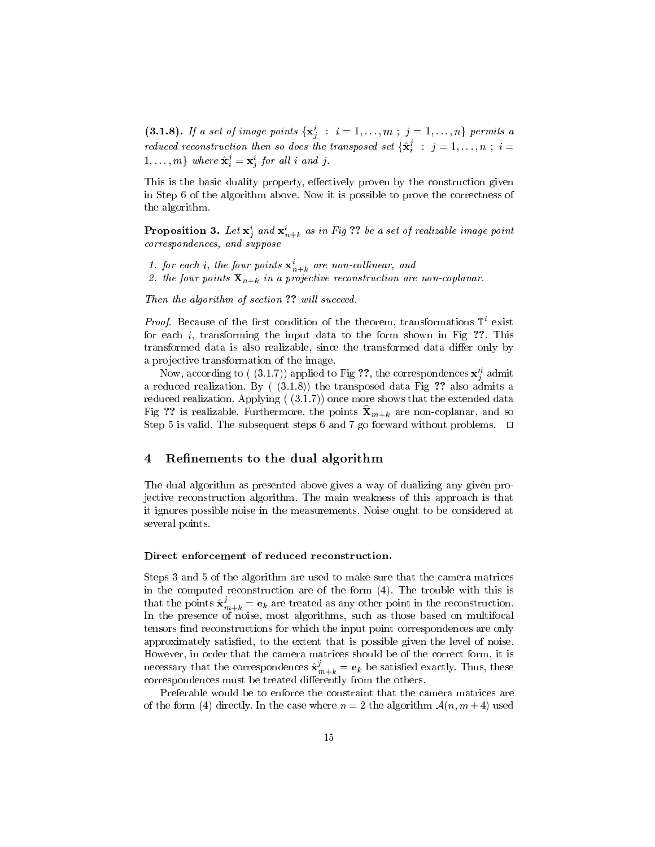(3.1.8). If a set of image points  $\{X_j : i = 1,\ldots,m; j = 1,\ldots,n\}$  permits a reduced reconstruction then so does the transposed set  $\{ {\bf x}^s_i ~:~ j = 1, \ldots, n ~; ~ i = 1, \ldots, n \}$  $1,\ldots,m\}$  where  $\mathbf{x}^{\omega}_i = \mathbf{x}^{\omega}_j$  for all  $i$  and  $j$ .

This is the basic duality property, effectively proven by the construction given in Step 6 of the algorithm above. Now it is possible to prove the correctness of the algorithm.

**Proposition 3.** Let  $\mathbf{x}_i$  and  $\mathbf{x}_{n+k}$  as in Fig  $::$  be a set of realizable image point correspondences, and suppose

1. for each i, the four points  $\mathbf{x}_{n+k}^i$  are non-collinear, and

2. the four points  $X_{n+k}$  in a projective reconstruction are non-coplanar.

Then the algorithm of section ?? will succeed.

*Proof.* Because of the first condition of the theorem, transformations  $T^i$  exist for each  $i$ , transforming the input data to the form shown in Fig ??. This transformed data is also realizable, since the transformed data differ only by a projective transformation of the image.

Now, according to (  $(3.1.7)$ ) applied to Fig  $\mathcal{V};$  the correspondences  $\mathbf{x}_j$  admit a reduced realization. By  $(3.1.8)$  the transposed data Fig ?? also admits a reduced realization. Applying  $( (3.1.7) )$  once more shows that the extended data Fig ?? is realizable, Furthermore, the points  $\mathbf{X}_{m+k}$  are non-coplanar, and so Step 5 is valid. The subsequent steps 6 and 7 go forward without problems.  $\Box$ 

### 4 Refinements to the dual algorithm

The dual algorithm as presented above gives a way of dualizing any given projective reconstruction algorithm. The main weakness of this approach is that it ignores possible noise in the measurements. Noise ought to be considered at several points.

#### Direct enforcement of reduced reconstruction.

Steps 3 and 5 of the algorithm are used to make sure that the camera matrices in the computed reconstruction are of the form (4). The trouble with this is that the points  $\mathbf{x}^*_{m+k} = \mathbf{e}_k$  are treated as any other point in the reconstruction. In the presence of noise, most algorithms, such as those based on multifocal tensors find reconstructions for which the input point correspondences are only approximately satisfied, to the extent that is possible given the level of noise. However, in order that the camera matrices should be of the correct form, it is necessary that the correspondences  $\mathbf{x}^*_{m+k} = \mathbf{e}_k$  be satisfied exactly. Thus, these correspondences must be treated differently from the others.

Preferable would be to enforce the constraint that the camera matrices are of the form (4) directly. In the case where  $n = 2$  the algorithm  $\mathcal{A}(n, m + 4)$  used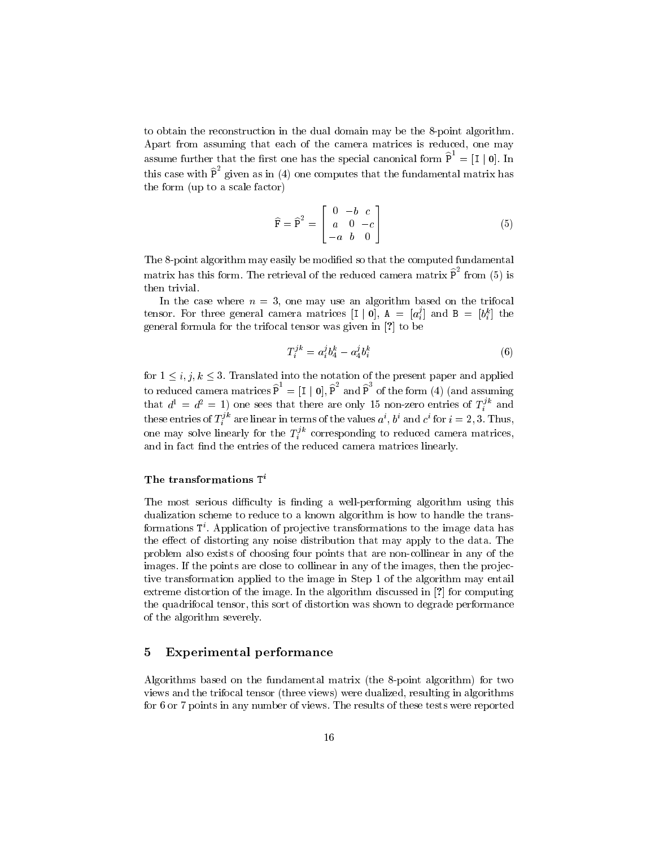to obtain the reconstruction in the dual domain may be the 8-point algorithm. Apart from assuming that each of the camera matrices is reduced, one may this case with  $\hat{P}^2$  given as in (4) one computes that the fundamental matrix has  $=$   $|I \,|$  0. In the form (up to a scale factor)

$$
\widehat{\mathbf{F}} = \widehat{\mathbf{P}}^2 = \begin{bmatrix} 0 & -b & c \\ a & 0 & -c \\ -a & b & 0 \end{bmatrix}
$$
 (5)

The 8-point algorithm may easily be modified so that the computed fundamental matrix has this form. The retrieval of the reduced camera matrix  $P$  from (5) is then trivial.

In the case where  $n = 3$ , one may use an algorithm based on the trifocal tensor. For three general camera matrices  $|1 \,|\, 0|$ ,  $A = |a_i'|$  and  $B = |b_i''|$  the  $\mathbb{R}$  formulate formula formula tensor was given  $\mathbb{R}$  to the  $\mathbb{R}$  of  $\mathbb{R}$  be the set

$$
T_i^{jk} = a_i^j b_4^k - a_4^j b_i^k \tag{6}
$$

for  $1 \leq i, j, k \leq 3$ . Translated into the notation of the present paper and applied that  $d^1 = d^2 = 1$ ) one sees that there are only 15 non-zero entries of  $T_i^k$  and  $I = |I| 0$ , P and P of the form (4) (and assuming these entries of  $T_i^{\omega}$  are linear in terms of the values  $a^{\epsilon}, b^{\epsilon}$  and  $c^{\epsilon}$  for  $i = 2, 3$ . Thus, one may solve linearly for the  $T_i^*$  corresponding to reduced camera matrices, and in fact find the entries of the reduced camera matrices linearly.

#### The transformations Ti

The most serious difficulty is finding a well-performing algorithm using this dualization scheme to reduce to a known algorithm is how to handle the transformations Ti . Application of pro jective transformations to the image data has the effect of distorting any noise distribution that may apply to the data. The problem also exists of choosing four points that are non-collinear in any of the images. If the points are close to collinear in any of the images, then the projective transformation applied to the image in Step 1 of the algorithm may entail extreme distortion of the image. In the algorithm discussed in [?] for computing the quadrifocal tensor, this sort of distortion was shown to degrade performance of the algorithm severely.

## 5 Experimental performance

Algorithms based on the fundamental matrix (the 8-point algorithm) for two views and the trifocal tensor (three views) were dualized, resulting in algorithms for 6 or 7 points in any number of views. The results of these tests were reported